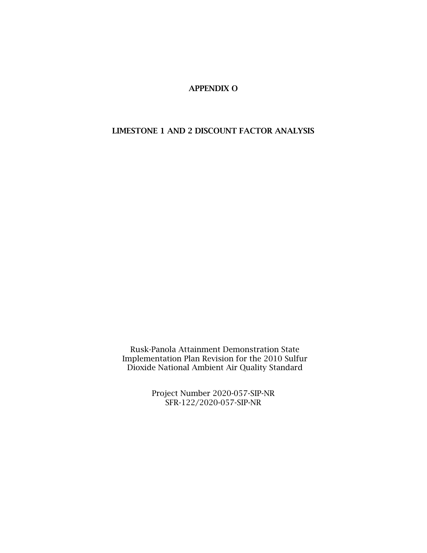## APPENDIX O

## LIMESTONE 1 AND 2 DISCOUNT FACTOR ANALYSIS

Rusk-Panola Attainment Demonstration State Implementation Plan Revision for the 2010 Sulfur Dioxide National Ambient Air Quality Standard

> Project Number 2020-057-SIP-NR SFR-122/2020-057-SIP-NR